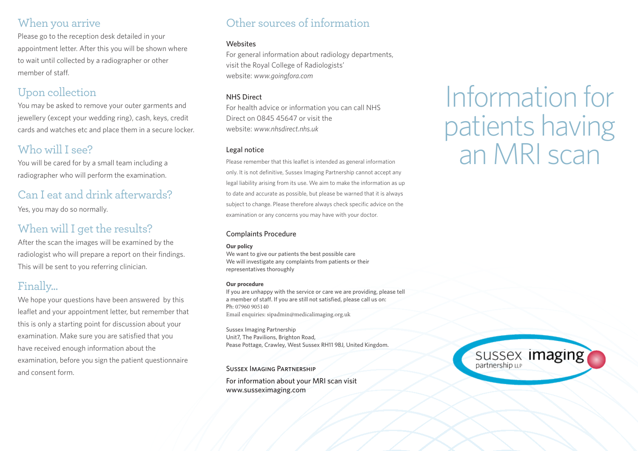## When you arrive

Please go to the reception desk detailed in your appointment letter. After this you will be shown where to wait until collected by a radiographer or other member of staff.

# Upon collection

You may be asked to remove your outer garments and jewellery (except your wedding ring), cash, keys, credit cards and watches etc and place them in a secure locker.

# Who will I see?

You will be cared for by a small team including a radiographer who will perform the examination.

## Can I eat and drink afterwards?

Yes, you may do so normally.

## When will I get the results?

After the scan the images will be examined by the radiologist who will prepare a report on their findings. This will be sent to you referring clinician.

## Finally...

We hope your questions have been answered by this leaflet and your appointment letter, but remember that this is only a starting point for discussion about your examination. Make sure you are satisfied that you have received enough information about the examination, before you sign the patient questionnaire and consent form.

# Other sources of information

#### **Websites**

For general information about radiology departments, visit the Royal College of Radiologists' website: *www.goingfora.com*

#### NHS Direct

For health advice or information you can call NHS Direct on 0845 45647 or visit the website: *www.nhsdirect.nhs.uk* 

#### Legal notice

Please remember that this leaflet is intended as general information only. It is not definitive, Sussex Imaging Partnership cannot accept any legal liability arising from its use. We aim to make the information as up to date and accurate as possible, but please be warned that it is always subject to change. Please therefore always check specific advice on the examination or any concerns you may have with your doctor.

#### Complaints Procedure

#### **Our policy**

We want to give our patients the best possible care We will investigate any complaints from patients or their representatives thoroughly

#### **Our procedure**

If you are unhappy with the service or care we are providing, please tell a member of staff. If you are still not satisfied, please call us on: Ph: 07960 905140 Email enquiries: sipadmin@medicalimaging.org.uk

Sussex Imaging Partnership Unit7, The Pavilions, Brighton Road, Pease Pottage, Crawley, West Sussex RH11 9BJ, United Kingdom.

#### Sussex Imaging Partnership

For information about your MRI scan visit www.susseximaging.com

# Information for patients having an MRI scan